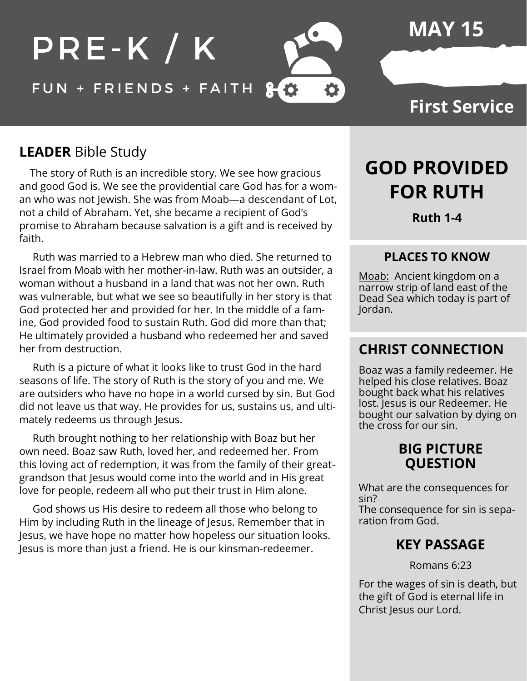### PRE-K / K FUN + FRIENDS + FAITH 80 Ö

**MAY 15**

### **First Service**

#### **LEADER** Bible Study

 The story of Ruth is an incredible story. We see how gracious and good God is. We see the providential care God has for a woman who was not Jewish. She was from Moab—a descendant of Lot, not a child of Abraham. Yet, she became a recipient of God's promise to Abraham because salvation is a gift and is received by faith.

 Ruth was married to a Hebrew man who died. She returned to Israel from Moab with her mother-in-law. Ruth was an outsider, a woman without a husband in a land that was not her own. Ruth was vulnerable, but what we see so beautifully in her story is that God protected her and provided for her. In the middle of a famine, God provided food to sustain Ruth. God did more than that; He ultimately provided a husband who redeemed her and saved her from destruction.

 Ruth is a picture of what it looks like to trust God in the hard seasons of life. The story of Ruth is the story of you and me. We are outsiders who have no hope in a world cursed by sin. But God did not leave us that way. He provides for us, sustains us, and ultimately redeems us through Jesus.

 Ruth brought nothing to her relationship with Boaz but her own need. Boaz saw Ruth, loved her, and redeemed her. From this loving act of redemption, it was from the family of their greatgrandson that Jesus would come into the world and in His great love for people, redeem all who put their trust in Him alone.

 God shows us His desire to redeem all those who belong to Him by including Ruth in the lineage of Jesus. Remember that in Jesus, we have hope no matter how hopeless our situation looks. Jesus is more than just a friend. He is our kinsman-redeemer.

# **GOD PROVIDED FOR RUTH**

**Ruth 1-4**

#### **PLACES TO KNOW**

Moab: Ancient kingdom on a narrow strip of land east of the Dead Sea which today is part of Jordan.

#### **CHRIST CONNECTION**

Boaz was a family redeemer. He helped his close relatives. Boaz bought back what his relatives lost. Jesus is our Redeemer. He bought our salvation by dying on the cross for our sin.

#### **BIG PICTURE QUESTION**

What are the consequences for sin? The consequence for sin is separation from God.

#### **KEY PASSAGE**

Romans 6:23

For the wages of sin is death, but the gift of God is eternal life in Christ Jesus our Lord.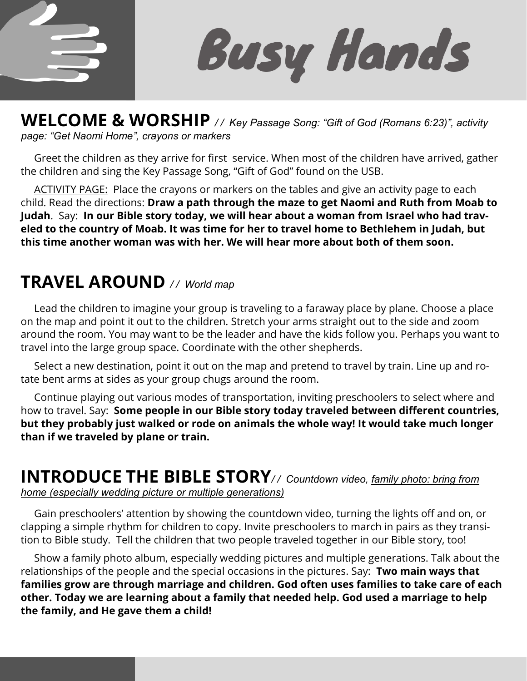

**Busy Hands** 

**WELCOME & WORSHIP** */ / Key Passage Song: "Gift of God (Romans 6:23)", activity page: "Get Naomi Home", crayons or markers*

 Greet the children as they arrive for first service. When most of the children have arrived, gather the children and sing the Key Passage Song, "Gift of God" found on the USB.

ACTIVITY PAGE: Place the crayons or markers on the tables and give an activity page to each child. Read the directions: **Draw a path through the maze to get Naomi and Ruth from Moab to Judah**. Say: **In our Bible story today, we will hear about a woman from Israel who had traveled to the country of Moab. It was time for her to travel home to Bethlehem in Judah, but this time another woman was with her. We will hear more about both of them soon.** 

## **TRAVEL AROUND** */ / World map*

 Lead the children to imagine your group is traveling to a faraway place by plane. Choose a place on the map and point it out to the children. Stretch your arms straight out to the side and zoom around the room. You may want to be the leader and have the kids follow you. Perhaps you want to travel into the large group space. Coordinate with the other shepherds.

 Select a new destination, point it out on the map and pretend to travel by train. Line up and rotate bent arms at sides as your group chugs around the room.

 Continue playing out various modes of transportation, inviting preschoolers to select where and how to travel. Say: **Some people in our Bible story today traveled between different countries, but they probably just walked or rode on animals the whole way! It would take much longer than if we traveled by plane or train.** 

# **INTRODUCE THE BIBLE STORY***/ / Countdown video, family photo: bring from*

*home (especially wedding picture or multiple generations)*

 Gain preschoolers' attention by showing the countdown video, turning the lights off and on, or clapping a simple rhythm for children to copy. Invite preschoolers to march in pairs as they transition to Bible study. Tell the children that two people traveled together in our Bible story, too!

 Show a family photo album, especially wedding pictures and multiple generations. Talk about the relationships of the people and the special occasions in the pictures. Say: **Two main ways that families grow are through marriage and children. God often uses families to take care of each other. Today we are learning about a family that needed help. God used a marriage to help the family, and He gave them a child!**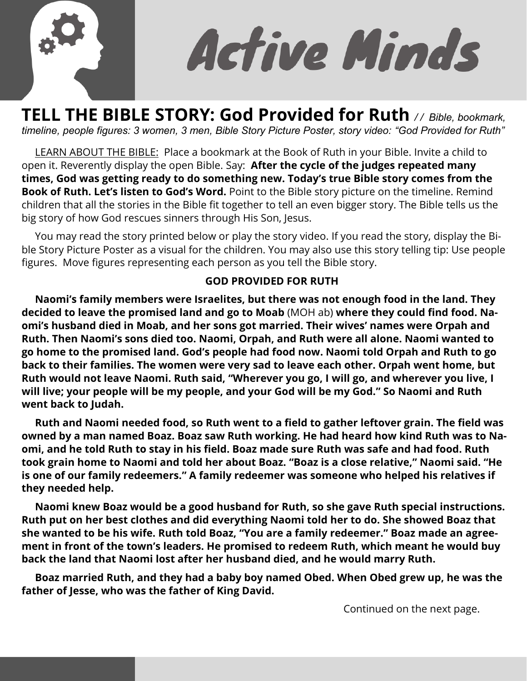

Active Minds

**TELL THE BIBLE STORY: God Provided for Ruth** */ / Bible, bookmark, timeline, people figures: 3 women, 3 men, Bible Story Picture Poster, story video: "God Provided for Ruth"* 

 LEARN ABOUT THE BIBLE: Place a bookmark at the Book of Ruth in your Bible. Invite a child to open it. Reverently display the open Bible. Say: **After the cycle of the judges repeated many times, God was getting ready to do something new. Today's true Bible story comes from the Book of Ruth. Let's listen to God's Word.** Point to the Bible story picture on the timeline. Remind children that all the stories in the Bible fit together to tell an even bigger story. The Bible tells us the big story of how God rescues sinners through His Son, Jesus.

 You may read the story printed below or play the story video. If you read the story, display the Bible Story Picture Poster as a visual for the children. You may also use this story telling tip: Use people figures. Move figures representing each person as you tell the Bible story.

#### **GOD PROVIDED FOR RUTH**

 **Naomi's family members were Israelites, but there was not enough food in the land. They decided to leave the promised land and go to Moab** (MOH ab) **where they could find food. Naomi's husband died in Moab, and her sons got married. Their wives' names were Orpah and Ruth. Then Naomi's sons died too. Naomi, Orpah, and Ruth were all alone. Naomi wanted to go home to the promised land. God's people had food now. Naomi told Orpah and Ruth to go back to their families. The women were very sad to leave each other. Orpah went home, but Ruth would not leave Naomi. Ruth said, "Wherever you go, I will go, and wherever you live, I will live; your people will be my people, and your God will be my God." So Naomi and Ruth went back to Judah.** 

 **Ruth and Naomi needed food, so Ruth went to a field to gather leftover grain. The field was owned by a man named Boaz. Boaz saw Ruth working. He had heard how kind Ruth was to Naomi, and he told Ruth to stay in his field. Boaz made sure Ruth was safe and had food. Ruth took grain home to Naomi and told her about Boaz. "Boaz is a close relative," Naomi said. "He is one of our family redeemers." A family redeemer was someone who helped his relatives if they needed help.** 

 **Naomi knew Boaz would be a good husband for Ruth, so she gave Ruth special instructions. Ruth put on her best clothes and did everything Naomi told her to do. She showed Boaz that she wanted to be his wife. Ruth told Boaz, "You are a family redeemer." Boaz made an agreement in front of the town's leaders. He promised to redeem Ruth, which meant he would buy back the land that Naomi lost after her husband died, and he would marry Ruth.** 

 **Boaz married Ruth, and they had a baby boy named Obed. When Obed grew up, he was the father of Jesse, who was the father of King David.** 

Continued on the next page.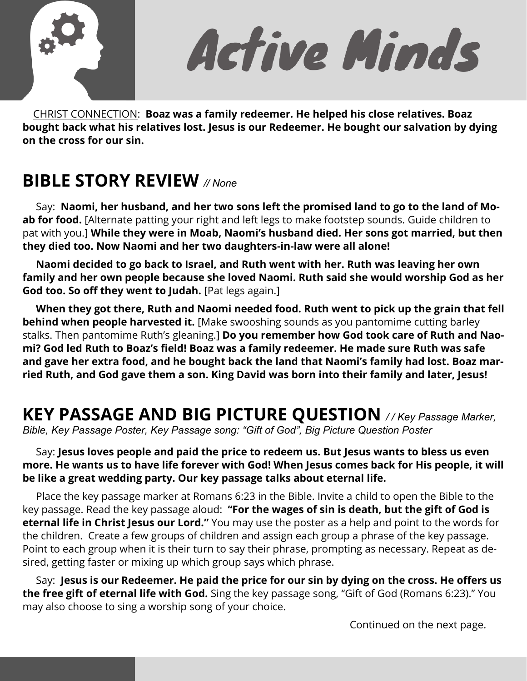

Active Minds

 CHRIST CONNECTION: **Boaz was a family redeemer. He helped his close relatives. Boaz bought back what his relatives lost. Jesus is our Redeemer. He bought our salvation by dying on the cross for our sin.** 

## **BIBLE STORY REVIEW** *// None*

 Say: **Naomi, her husband, and her two sons left the promised land to go to the land of Moab for food.** [Alternate patting your right and left legs to make footstep sounds. Guide children to pat with you.] **While they were in Moab, Naomi's husband died. Her sons got married, but then they died too. Now Naomi and her two daughters-in-law were all alone!** 

 **Naomi decided to go back to Israel, and Ruth went with her. Ruth was leaving her own family and her own people because she loved Naomi. Ruth said she would worship God as her God too. So off they went to Judah.** [Pat legs again.]

 **When they got there, Ruth and Naomi needed food. Ruth went to pick up the grain that fell behind when people harvested it.** [Make swooshing sounds as you pantomime cutting barley stalks. Then pantomime Ruth's gleaning.] **Do you remember how God took care of Ruth and Naomi? God led Ruth to Boaz's field! Boaz was a family redeemer. He made sure Ruth was safe and gave her extra food, and he bought back the land that Naomi's family had lost. Boaz married Ruth, and God gave them a son. King David was born into their family and later, Jesus!** 

# **KEY PASSAGE AND BIG PICTURE QUESTION** */ / Key Passage Marker,*

*Bible, Key Passage Poster, Key Passage song: "Gift of God", Big Picture Question Poster* 

 Say: **Jesus loves people and paid the price to redeem us. But Jesus wants to bless us even more. He wants us to have life forever with God! When Jesus comes back for His people, it will be like a great wedding party. Our key passage talks about eternal life.** 

 Place the key passage marker at Romans 6:23 in the Bible. Invite a child to open the Bible to the key passage. Read the key passage aloud: **"For the wages of sin is death, but the gift of God is eternal life in Christ Jesus our Lord."** You may use the poster as a help and point to the words for the children. Create a few groups of children and assign each group a phrase of the key passage. Point to each group when it is their turn to say their phrase, prompting as necessary. Repeat as desired, getting faster or mixing up which group says which phrase.

 Say: **Jesus is our Redeemer. He paid the price for our sin by dying on the cross. He offers us the free gift of eternal life with God.** Sing the key passage song, "Gift of God (Romans 6:23)." You may also choose to sing a worship song of your choice.

Continued on the next page.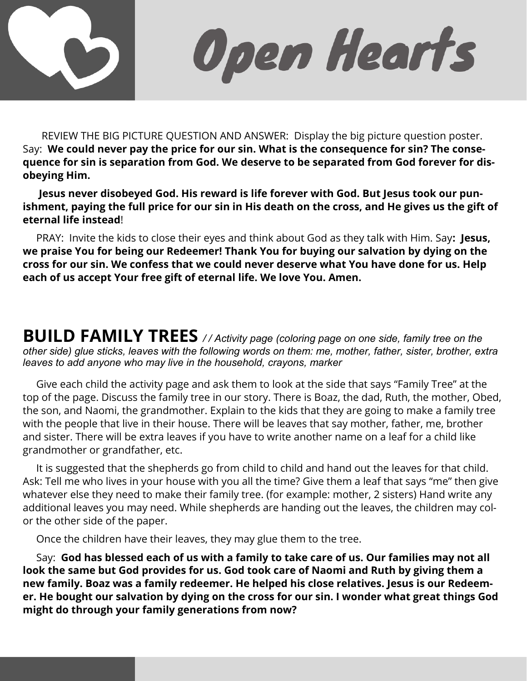

Open Hearts

 REVIEW THE BIG PICTURE QUESTION AND ANSWER: Display the big picture question poster. Say: **We could never pay the price for our sin. What is the consequence for sin? The consequence for sin is separation from God. We deserve to be separated from God forever for disobeying Him.** 

 **Jesus never disobeyed God. His reward is life forever with God. But Jesus took our punishment, paying the full price for our sin in His death on the cross, and He gives us the gift of eternal life instead**!

 PRAY: Invite the kids to close their eyes and think about God as they talk with Him. Say**: Jesus, we praise You for being our Redeemer! Thank You for buying our salvation by dying on the cross for our sin. We confess that we could never deserve what You have done for us. Help each of us accept Your free gift of eternal life. We love You. Amen.** 

**BUILD FAMILY TREES** */ / Activity page (coloring page on one side, family tree on the other side) glue sticks, leaves with the following words on them: me, mother, father, sister, brother, extra leaves to add anyone who may live in the household, crayons, marker*

 Give each child the activity page and ask them to look at the side that says "Family Tree" at the top of the page. Discuss the family tree in our story. There is Boaz, the dad, Ruth, the mother, Obed, the son, and Naomi, the grandmother. Explain to the kids that they are going to make a family tree with the people that live in their house. There will be leaves that say mother, father, me, brother and sister. There will be extra leaves if you have to write another name on a leaf for a child like grandmother or grandfather, etc.

 It is suggested that the shepherds go from child to child and hand out the leaves for that child. Ask: Tell me who lives in your house with you all the time? Give them a leaf that says "me" then give whatever else they need to make their family tree. (for example: mother, 2 sisters) Hand write any additional leaves you may need. While shepherds are handing out the leaves, the children may color the other side of the paper.

Once the children have their leaves, they may glue them to the tree.

 Say: **God has blessed each of us with a family to take care of us. Our families may not all look the same but God provides for us. God took care of Naomi and Ruth by giving them a new family. Boaz was a family redeemer. He helped his close relatives. Jesus is our Redeemer. He bought our salvation by dying on the cross for our sin. I wonder what great things God might do through your family generations from now?**